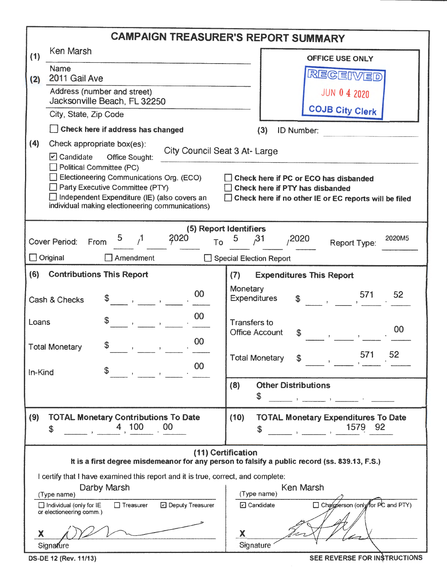| <b>CAMPAIGN TREASURER'S REPORT SUMMARY</b>                                                                          |                                                                                                             |                                                                                                                   |  |  |  |  |  |  |  |  |  |
|---------------------------------------------------------------------------------------------------------------------|-------------------------------------------------------------------------------------------------------------|-------------------------------------------------------------------------------------------------------------------|--|--|--|--|--|--|--|--|--|
| (1)                                                                                                                 | Ken Marsh                                                                                                   | <b>OFFICE USE ONLY</b>                                                                                            |  |  |  |  |  |  |  |  |  |
|                                                                                                                     | <b>Name</b><br>2011 Gail Ave                                                                                | RECEIVED                                                                                                          |  |  |  |  |  |  |  |  |  |
| (2)                                                                                                                 | Address (number and street)                                                                                 | JUN 0 4 2020                                                                                                      |  |  |  |  |  |  |  |  |  |
|                                                                                                                     | Jacksonville Beach, FL 32250                                                                                | <b>COJB City Clerk</b>                                                                                            |  |  |  |  |  |  |  |  |  |
|                                                                                                                     | City, State, Zip Code                                                                                       |                                                                                                                   |  |  |  |  |  |  |  |  |  |
|                                                                                                                     | $\Box$ Check here if address has changed                                                                    | (3)<br><b>ID Number:</b>                                                                                          |  |  |  |  |  |  |  |  |  |
|                                                                                                                     | (4)<br>Check appropriate box(es):<br>City Council Seat 3 At- Large<br>$\Box$ Candidate<br>Office Sought:    |                                                                                                                   |  |  |  |  |  |  |  |  |  |
|                                                                                                                     | Political Committee (PC)                                                                                    |                                                                                                                   |  |  |  |  |  |  |  |  |  |
|                                                                                                                     | Electioneering Communications Org. (ECO)<br>Party Executive Committee (PTY)                                 | Check here if PC or ECO has disbanded<br>Check here if PTY has disbanded                                          |  |  |  |  |  |  |  |  |  |
|                                                                                                                     | Independent Expenditure (IE) (also covers an<br>individual making electioneering communications)            | $\Box$ Check here if no other IE or EC reports will be filed                                                      |  |  |  |  |  |  |  |  |  |
|                                                                                                                     |                                                                                                             |                                                                                                                   |  |  |  |  |  |  |  |  |  |
|                                                                                                                     | 2020                                                                                                        | (5) Report Identifiers<br>5<br>2020M5                                                                             |  |  |  |  |  |  |  |  |  |
|                                                                                                                     | 5 $/1$<br><b>Cover Period:</b><br>From<br>To                                                                | ,2020<br>31<br><b>Report Type:</b>                                                                                |  |  |  |  |  |  |  |  |  |
|                                                                                                                     | $\Box$ Original<br>Amendment                                                                                | Special Election Report                                                                                           |  |  |  |  |  |  |  |  |  |
| (6)                                                                                                                 | <b>Contributions This Report</b>                                                                            | (7)<br><b>Expenditures This Report</b>                                                                            |  |  |  |  |  |  |  |  |  |
|                                                                                                                     | 00<br>Cash & Checks                                                                                         | Monetary<br>52<br>571<br>$\overline{571}$<br><b>Expenditures</b>                                                  |  |  |  |  |  |  |  |  |  |
| Loans                                                                                                               | 00<br>S<br>$\mathbf{r}$ and $\mathbf{r}$                                                                    | <b>Transfers to</b><br>00<br><b>Office Account</b>                                                                |  |  |  |  |  |  |  |  |  |
|                                                                                                                     | 00<br><b>Total Monetary</b>                                                                                 |                                                                                                                   |  |  |  |  |  |  |  |  |  |
|                                                                                                                     |                                                                                                             | 52<br>571<br><b>Total Monetary</b><br>$\mathfrak{F}$                                                              |  |  |  |  |  |  |  |  |  |
| In-Kind                                                                                                             | 00<br>\$                                                                                                    |                                                                                                                   |  |  |  |  |  |  |  |  |  |
|                                                                                                                     |                                                                                                             | <b>Other Distributions</b><br>(8)<br>\$                                                                           |  |  |  |  |  |  |  |  |  |
|                                                                                                                     |                                                                                                             | $\mathcal{F} = \mathcal{F} = \{ \mathcal{F} \mid \mathcal{F} \in \mathcal{F} \mid \mathcal{F} \in \mathcal{F} \}$ |  |  |  |  |  |  |  |  |  |
| (9)                                                                                                                 | <b>TOTAL Monetary Contributions To Date</b><br>4 100<br>00                                                  | (10)<br><b>TOTAL Monetary Expenditures To Date</b><br>1579 92                                                     |  |  |  |  |  |  |  |  |  |
|                                                                                                                     | \$                                                                                                          | \$                                                                                                                |  |  |  |  |  |  |  |  |  |
| (11) Certification<br>It is a first degree misdemeanor for any person to falsify a public record (ss. 839.13, F.S.) |                                                                                                             |                                                                                                                   |  |  |  |  |  |  |  |  |  |
| I certify that I have examined this report and it is true, correct, and complete:                                   |                                                                                                             |                                                                                                                   |  |  |  |  |  |  |  |  |  |
|                                                                                                                     | Darby Marsh<br>(Type name)                                                                                  | Ken Marsh<br>(Type name)                                                                                          |  |  |  |  |  |  |  |  |  |
|                                                                                                                     | $\Box$ Treasurer<br><b>D</b> Deputy Treasurer<br>$\Box$ Individual (only for IE<br>or electioneering comm.) | Chairperson (only for PC and PTY)<br><b>2</b> Candidate                                                           |  |  |  |  |  |  |  |  |  |
|                                                                                                                     |                                                                                                             |                                                                                                                   |  |  |  |  |  |  |  |  |  |
| Χ                                                                                                                   |                                                                                                             | X<br>Signature                                                                                                    |  |  |  |  |  |  |  |  |  |
|                                                                                                                     | Signature                                                                                                   |                                                                                                                   |  |  |  |  |  |  |  |  |  |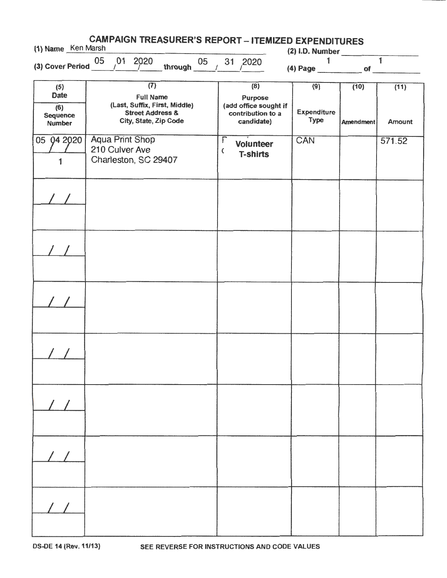| <b>CAMPAIGN TREASURER'S REPORT - ITEMIZED EXPENDITURES</b><br>(1) Name Ken Marsh<br>$(2)$ I.D. Number |                                                                                                                               |                                                                  |  |                                                                            |        |                                     |                                   |                          |                       |        |  |
|-------------------------------------------------------------------------------------------------------|-------------------------------------------------------------------------------------------------------------------------------|------------------------------------------------------------------|--|----------------------------------------------------------------------------|--------|-------------------------------------|-----------------------------------|--------------------------|-----------------------|--------|--|
|                                                                                                       | (3) Cover Period $\frac{05}{100}$ / $\frac{01}{2020}$<br>through $\frac{05}{4}$                                               |                                                                  |  |                                                                            |        | $31^{2020}$                         |                                   | 1                        | $\overline{1}$        |        |  |
| (5)<br><b>Date</b><br>(6)<br>Sequence<br><b>Number</b>                                                | $\overline{(7)}$<br><b>Full Name</b><br>(Last, Suffix, First, Middle)<br><b>Street Address &amp;</b><br>City, State, Zip Code |                                                                  |  | (8)<br>Purpose<br>(add office sought if<br>contribution to a<br>candidate) |        |                                     | (9)<br><b>Expenditure</b><br>Type | (10)<br><b>Amendment</b> | (11)<br><b>Amount</b> |        |  |
| 05 94 29 20<br>1                                                                                      |                                                                                                                               | <b>Aqua Print Shop</b><br>210 Culver Ave<br>Charleston, SC 29407 |  |                                                                            | F<br>C | <b>Volunteer</b><br><b>T-shirts</b> |                                   | CAN                      |                       | 571.52 |  |
|                                                                                                       |                                                                                                                               |                                                                  |  |                                                                            |        |                                     |                                   |                          |                       |        |  |
|                                                                                                       |                                                                                                                               |                                                                  |  |                                                                            |        |                                     |                                   |                          |                       |        |  |
|                                                                                                       |                                                                                                                               |                                                                  |  |                                                                            |        |                                     |                                   |                          |                       |        |  |
|                                                                                                       |                                                                                                                               |                                                                  |  |                                                                            |        |                                     |                                   |                          |                       |        |  |
|                                                                                                       |                                                                                                                               |                                                                  |  |                                                                            |        |                                     |                                   |                          |                       |        |  |
|                                                                                                       |                                                                                                                               |                                                                  |  |                                                                            |        |                                     |                                   |                          |                       |        |  |
|                                                                                                       |                                                                                                                               |                                                                  |  |                                                                            |        |                                     |                                   |                          |                       |        |  |